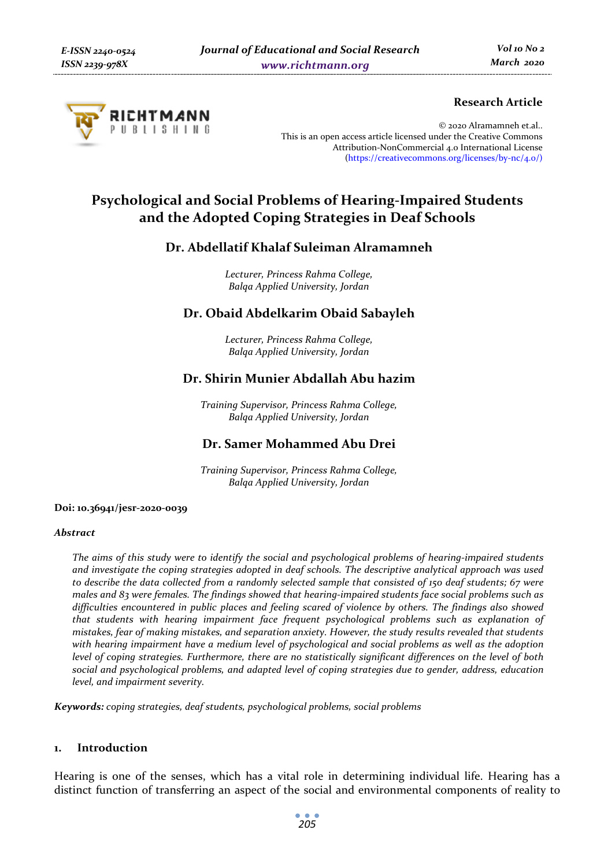

## **Research Article**

© 2020 Alramamneh et.al.. This is an open access article licensed under the Creative Commons Attribution-NonCommercial 4.0 International License (https://creativecommons.org/licenses/by-nc/4.0/)

# **Psychological and Social Problems of Hearing-Impaired Students and the Adopted Coping Strategies in Deaf Schools**

## **Dr. Abdellatif Khalaf Suleiman Alramamneh**

*Lecturer, Princess Rahma College, Balqa Applied University, Jordan* 

## **Dr. Obaid Abdelkarim Obaid Sabayleh**

*Lecturer, Princess Rahma College, Balqa Applied University, Jordan* 

## **Dr. Shirin Munier Abdallah Abu hazim**

*Training Supervisor, Princess Rahma College, Balqa Applied University, Jordan* 

## **Dr. Samer Mohammed Abu Drei**

*Training Supervisor, Princess Rahma College, Balqa Applied University, Jordan* 

#### **Doi: 10.36941/jesr-2020-0039**

#### *Abstract*

*The aims of this study were to identify the social and psychological problems of hearing-impaired students and investigate the coping strategies adopted in deaf schools. The descriptive analytical approach was used to describe the data collected from a randomly selected sample that consisted of 150 deaf students; 67 were males and 83 were females. The findings showed that hearing-impaired students face social problems such as difficulties encountered in public places and feeling scared of violence by others. The findings also showed that students with hearing impairment face frequent psychological problems such as explanation of mistakes, fear of making mistakes, and separation anxiety. However, the study results revealed that students with hearing impairment have a medium level of psychological and social problems as well as the adoption level of coping strategies. Furthermore, there are no statistically significant differences on the level of both social and psychological problems, and adapted level of coping strategies due to gender, address, education level, and impairment severity.* 

*Keywords: coping strategies, deaf students, psychological problems, social problems* 

#### **1. Introduction**

Hearing is one of the senses, which has a vital role in determining individual life. Hearing has a distinct function of transferring an aspect of the social and environmental components of reality to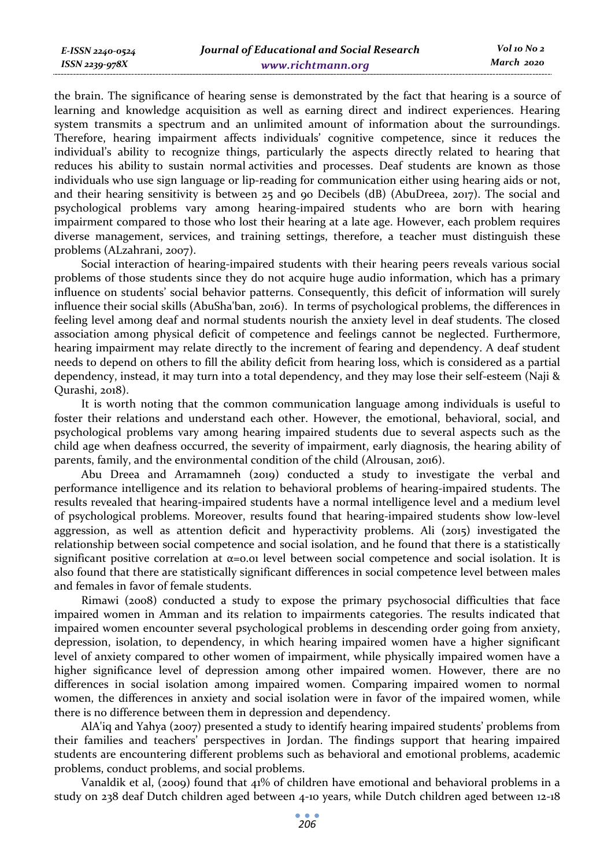*Vol 10 No 2 March 2020*

the brain. The significance of hearing sense is demonstrated by the fact that hearing is a source of learning and knowledge acquisition as well as earning direct and indirect experiences. Hearing system transmits a spectrum and an unlimited amount of information about the surroundings. Therefore, hearing impairment affects individuals' cognitive competence, since it reduces the individual's ability to recognize things, particularly the aspects directly related to hearing that reduces his ability to sustain normal activities and processes. Deaf students are known as those individuals who use sign language or lip-reading for communication either using hearing aids or not, and their hearing sensitivity is between 25 and 90 Decibels (dB) (AbuDreea, 2017). The social and psychological problems vary among hearing-impaired students who are born with hearing impairment compared to those who lost their hearing at a late age. However, each problem requires diverse management, services, and training settings, therefore, a teacher must distinguish these problems (ALzahrani, 2007).

Social interaction of hearing-impaired students with their hearing peers reveals various social problems of those students since they do not acquire huge audio information, which has a primary influence on students' social behavior patterns. Consequently, this deficit of information will surely influence their social skills (AbuSha'ban, 2016). In terms of psychological problems, the differences in feeling level among deaf and normal students nourish the anxiety level in deaf students. The closed association among physical deficit of competence and feelings cannot be neglected. Furthermore, hearing impairment may relate directly to the increment of fearing and dependency. A deaf student needs to depend on others to fill the ability deficit from hearing loss, which is considered as a partial dependency, instead, it may turn into a total dependency, and they may lose their self-esteem (Naji & Qurashi, 2018).

It is worth noting that the common communication language among individuals is useful to foster their relations and understand each other. However, the emotional, behavioral, social, and psychological problems vary among hearing impaired students due to several aspects such as the child age when deafness occurred, the severity of impairment, early diagnosis, the hearing ability of parents, family, and the environmental condition of the child (Alrousan, 2016).

Abu Dreea and Arramamneh (2019) conducted a study to investigate the verbal and performance intelligence and its relation to behavioral problems of hearing-impaired students. The results revealed that hearing-impaired students have a normal intelligence level and a medium level of psychological problems. Moreover, results found that hearing-impaired students show low-level aggression, as well as attention deficit and hyperactivity problems. Ali (2015) investigated the relationship between social competence and social isolation, and he found that there is a statistically significant positive correlation at  $\alpha$ =0.01 level between social competence and social isolation. It is also found that there are statistically significant differences in social competence level between males and females in favor of female students.

Rimawi (2008) conducted a study to expose the primary psychosocial difficulties that face impaired women in Amman and its relation to impairments categories. The results indicated that impaired women encounter several psychological problems in descending order going from anxiety, depression, isolation, to dependency, in which hearing impaired women have a higher significant level of anxiety compared to other women of impairment, while physically impaired women have a higher significance level of depression among other impaired women. However, there are no differences in social isolation among impaired women. Comparing impaired women to normal women, the differences in anxiety and social isolation were in favor of the impaired women, while there is no difference between them in depression and dependency.

AlA'iq and Yahya (2007) presented a study to identify hearing impaired students' problems from their families and teachers' perspectives in Jordan. The findings support that hearing impaired students are encountering different problems such as behavioral and emotional problems, academic problems, conduct problems, and social problems.

Vanaldik et al, (2009) found that 41% of children have emotional and behavioral problems in a study on 238 deaf Dutch children aged between 4-10 years, while Dutch children aged between 12-18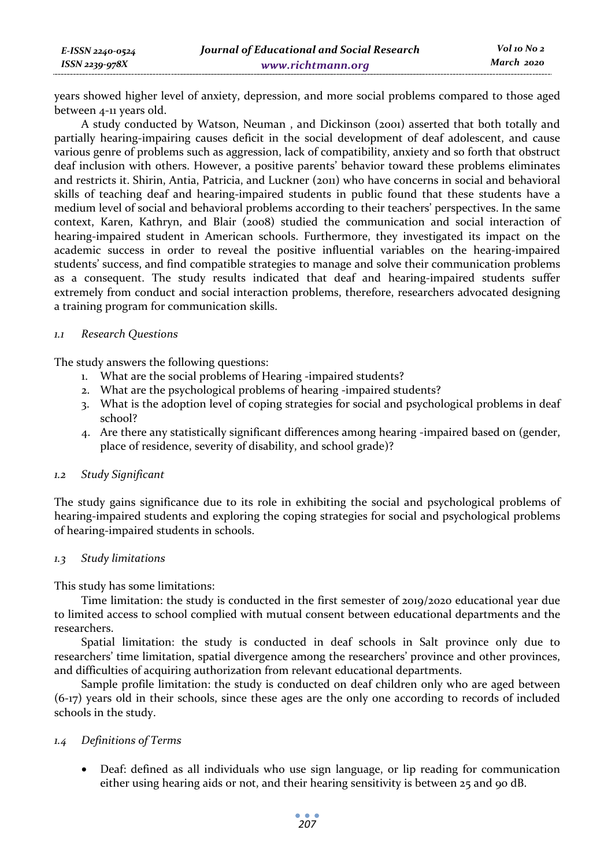years showed higher level of anxiety, depression, and more social problems compared to those aged between 4-11 years old.

A study conducted by Watson, Neuman , and Dickinson (2001) asserted that both totally and partially hearing-impairing causes deficit in the social development of deaf adolescent, and cause various genre of problems such as aggression, lack of compatibility, anxiety and so forth that obstruct deaf inclusion with others. However, a positive parents' behavior toward these problems eliminates and restricts it. Shirin, Antia, Patricia, and Luckner (2011) who have concerns in social and behavioral skills of teaching deaf and hearing-impaired students in public found that these students have a medium level of social and behavioral problems according to their teachers' perspectives. In the same context, Karen, Kathryn, and Blair (2008) studied the communication and social interaction of hearing-impaired student in American schools. Furthermore, they investigated its impact on the academic success in order to reveal the positive influential variables on the hearing-impaired students' success, and find compatible strategies to manage and solve their communication problems as a consequent. The study results indicated that deaf and hearing-impaired students suffer extremely from conduct and social interaction problems, therefore, researchers advocated designing a training program for communication skills.

#### *1.1 Research Questions*

The study answers the following questions:

- 1. What are the social problems of Hearing -impaired students?
- 2. What are the psychological problems of hearing -impaired students?
- 3. What is the adoption level of coping strategies for social and psychological problems in deaf school?
- 4. Are there any statistically significant differences among hearing -impaired based on (gender, place of residence, severity of disability, and school grade)?

## *1.2 Study Significant*

The study gains significance due to its role in exhibiting the social and psychological problems of hearing-impaired students and exploring the coping strategies for social and psychological problems of hearing-impaired students in schools.

## *1.3 Study limitations*

This study has some limitations:

Time limitation: the study is conducted in the first semester of 2019/2020 educational year due to limited access to school complied with mutual consent between educational departments and the researchers.

Spatial limitation: the study is conducted in deaf schools in Salt province only due to researchers' time limitation, spatial divergence among the researchers' province and other provinces, and difficulties of acquiring authorization from relevant educational departments.

Sample profile limitation: the study is conducted on deaf children only who are aged between (6-17) years old in their schools, since these ages are the only one according to records of included schools in the study.

## *1.4 Definitions of Terms*

• Deaf: defined as all individuals who use sign language, or lip reading for communication either using hearing aids or not, and their hearing sensitivity is between 25 and 90 dB.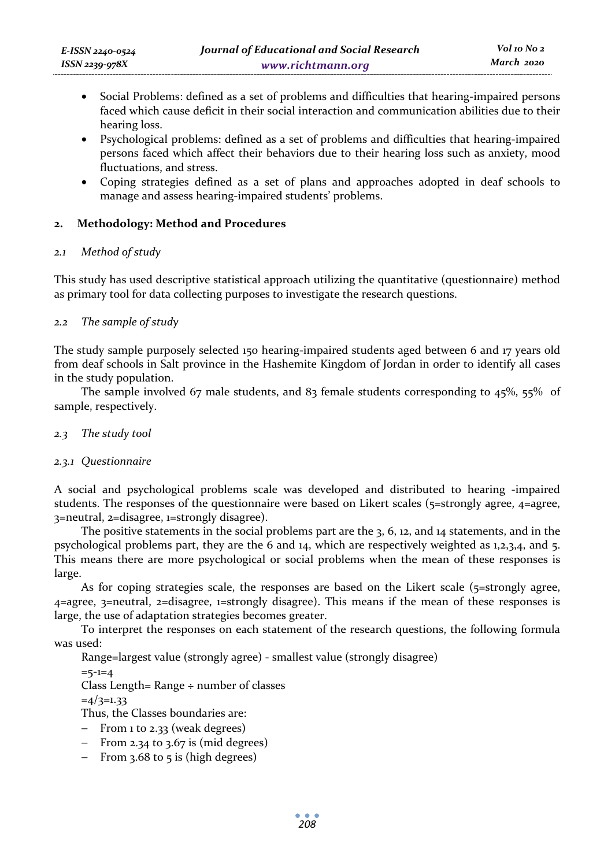- Social Problems: defined as a set of problems and difficulties that hearing-impaired persons faced which cause deficit in their social interaction and communication abilities due to their hearing loss.
- Psychological problems: defined as a set of problems and difficulties that hearing-impaired persons faced which affect their behaviors due to their hearing loss such as anxiety, mood fluctuations, and stress.
- Coping strategies defined as a set of plans and approaches adopted in deaf schools to manage and assess hearing-impaired students' problems.

## **2. Methodology: Method and Procedures**

## *2.1 Method of study*

This study has used descriptive statistical approach utilizing the quantitative (questionnaire) method as primary tool for data collecting purposes to investigate the research questions.

## *2.2 The sample of study*

The study sample purposely selected 150 hearing-impaired students aged between 6 and 17 years old from deaf schools in Salt province in the Hashemite Kingdom of Jordan in order to identify all cases in the study population.

The sample involved 67 male students, and 83 female students corresponding to 45%, 55% of sample, respectively.

## *2.3 The study tool*

## *2.3.1 Questionnaire*

A social and psychological problems scale was developed and distributed to hearing -impaired students. The responses of the questionnaire were based on Likert scales (5=strongly agree, 4=agree, 3=neutral, 2=disagree, 1=strongly disagree).

The positive statements in the social problems part are the 3, 6, 12, and 14 statements, and in the psychological problems part, they are the 6 and 14, which are respectively weighted as 1,2,3,4, and 5. This means there are more psychological or social problems when the mean of these responses is large.

As for coping strategies scale, the responses are based on the Likert scale ( $5=$ strongly agree, 4=agree, 3=neutral, 2=disagree, 1=strongly disagree). This means if the mean of these responses is large, the use of adaptation strategies becomes greater.

To interpret the responses on each statement of the research questions, the following formula was used:

Range=largest value (strongly agree) - smallest value (strongly disagree)

 $=5-1=4$ 

Class Length= Range ÷ number of classes

 $=4/3=1.33$ 

Thus, the Classes boundaries are:

- − From 1 to 2.33 (weak degrees)
- − From 2.34 to 3.67 is (mid degrees)
- − From 3.68 to 5 is (high degrees)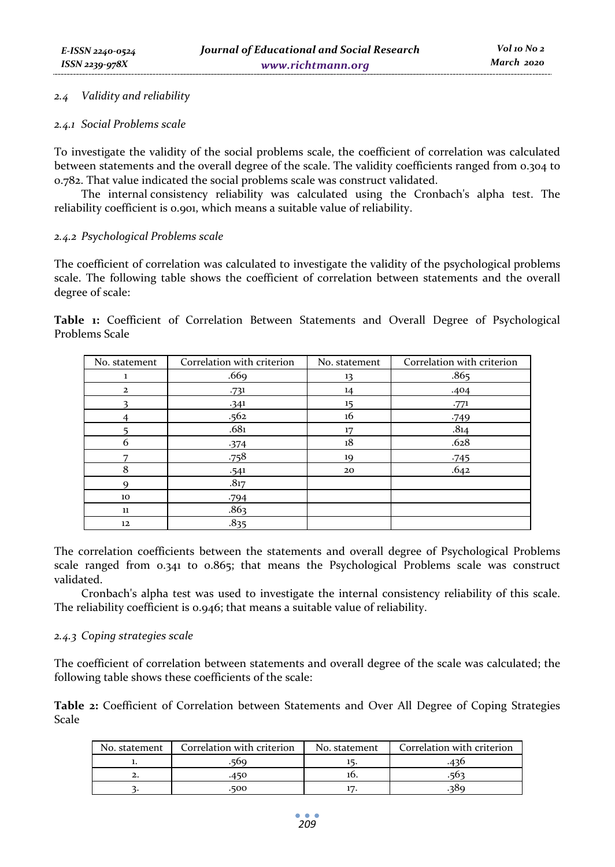#### *2.4 Validity and reliability*

#### *2.4.1 Social Problems scale*

To investigate the validity of the social problems scale, the coefficient of correlation was calculated between statements and the overall degree of the scale. The validity coefficients ranged from 0.304 to 0.782. That value indicated the social problems scale was construct validated.

The internal consistency reliability was calculated using the Cronbach's alpha test. The reliability coefficient is 0.901, which means a suitable value of reliability.

#### *2.4.2 Psychological Problems scale*

The coefficient of correlation was calculated to investigate the validity of the psychological problems scale. The following table shows the coefficient of correlation between statements and the overall degree of scale:

**Table 1:** Coefficient of Correlation Between Statements and Overall Degree of Psychological Problems Scale

| No. statement  | Correlation with criterion | No. statement | Correlation with criterion |
|----------------|----------------------------|---------------|----------------------------|
| 1              | .669                       | 13            | .865                       |
| $\overline{2}$ | .731                       | 14            | .404                       |
|                | $-341$                     | 15            | .771                       |
|                | .562                       | 16            | $-749$                     |
|                | .68 <sub>1</sub>           | 17            | .814                       |
| 6              | $-374$                     | 18            | .628                       |
|                | .758                       | 19            | $-745$                     |
| 8              | .541                       | 20            | .642                       |
| 9              | .817                       |               |                            |
| 10             | .794                       |               |                            |
| 11             | .863                       |               |                            |
| 12             | .835                       |               |                            |

The correlation coefficients between the statements and overall degree of Psychological Problems scale ranged from 0.341 to 0.865; that means the Psychological Problems scale was construct validated.

Cronbach's alpha test was used to investigate the internal consistency reliability of this scale. The reliability coefficient is 0.946; that means a suitable value of reliability.

#### *2.4.3 Coping strategies scale*

The coefficient of correlation between statements and overall degree of the scale was calculated; the following table shows these coefficients of the scale:

**Table 2:** Coefficient of Correlation between Statements and Over All Degree of Coping Strategies Scale

| No. statement | Correlation with criterion | No. statement | Correlation with criterion |
|---------------|----------------------------|---------------|----------------------------|
|               |                            |               |                            |
|               |                            |               |                            |
|               | 500                        |               |                            |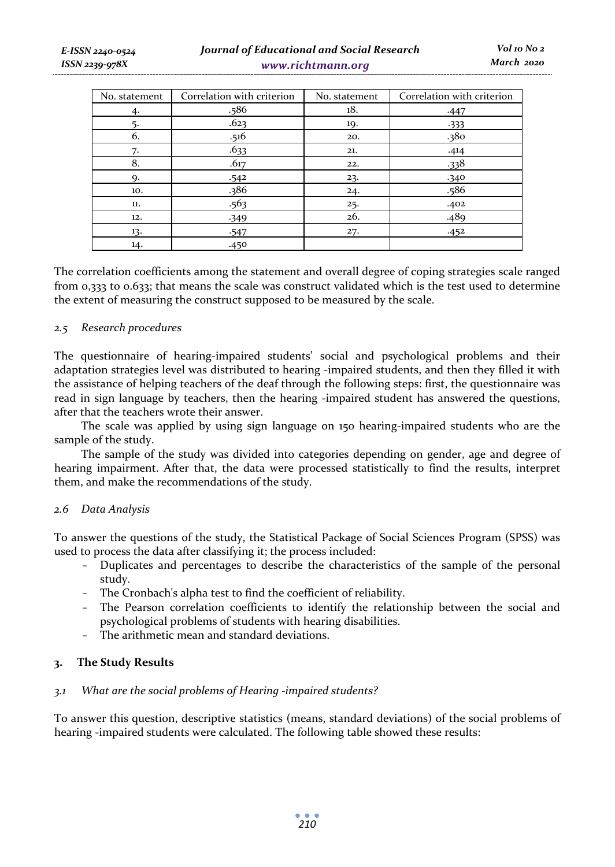| No. statement | Correlation with criterion | No. statement | Correlation with criterion |
|---------------|----------------------------|---------------|----------------------------|
| 4.            | .586                       | 18.           | $-447$                     |
| 5.            | .623                       | 19.           | $-333$                     |
| 6.            | .516                       | 20.           | .380                       |
| 7.            | .633                       | 21.           | .414                       |
| 8.            | .617                       | 22.           | .338                       |
| Q.            | .542                       | 23.           | .340                       |
| 10.           | .386                       | 24.           | .586                       |
| 11.           | .563                       | 25.           | .402                       |
| 12.           | $-349$                     | 26.           | .489                       |
| 13.           | $-547$                     | 27.           | .452                       |
| 14.           | .450                       |               |                            |

The correlation coefficients among the statement and overall degree of coping strategies scale ranged from 0,333 to 0.633; that means the scale was construct validated which is the test used to determine the extent of measuring the construct supposed to be measured by the scale.

#### *2.5 Research procedures*

The questionnaire of hearing-impaired students' social and psychological problems and their adaptation strategies level was distributed to hearing -impaired students, and then they filled it with the assistance of helping teachers of the deaf through the following steps: first, the questionnaire was read in sign language by teachers, then the hearing -impaired student has answered the questions, after that the teachers wrote their answer.

The scale was applied by using sign language on 150 hearing-impaired students who are the sample of the study.

The sample of the study was divided into categories depending on gender, age and degree of hearing impairment. After that, the data were processed statistically to find the results, interpret them, and make the recommendations of the study.

#### *2.6 Data Analysis*

To answer the questions of the study, the Statistical Package of Social Sciences Program (SPSS) was used to process the data after classifying it; the process included:

- Duplicates and percentages to describe the characteristics of the sample of the personal study.
- The Cronbach's alpha test to find the coefficient of reliability.
- The Pearson correlation coefficients to identify the relationship between the social and psychological problems of students with hearing disabilities.
- The arithmetic mean and standard deviations.

#### **3. The Study Results**

#### *3.1 What are the social problems of Hearing -impaired students?*

To answer this question, descriptive statistics (means, standard deviations) of the social problems of hearing -impaired students were calculated. The following table showed these results: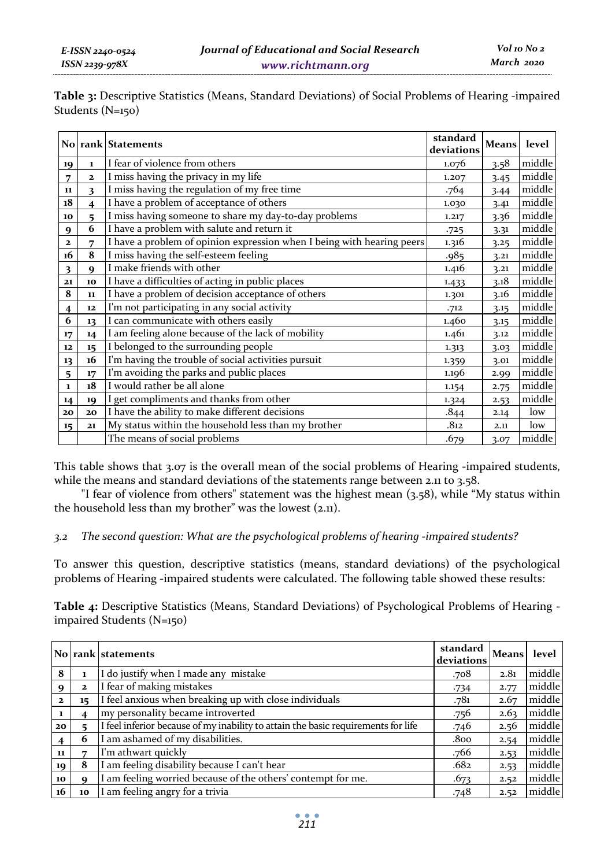**Table 3:** Descriptive Statistics (Means, Standard Deviations) of Social Problems of Hearing -impaired Students (N=150)

|              |              | No rank Statements                                                     | standard<br>deviations | <b>Means</b> | level  |
|--------------|--------------|------------------------------------------------------------------------|------------------------|--------------|--------|
| 19           | $\mathbf{1}$ | I fear of violence from others                                         | 1.076                  | 3.58         | middle |
| 7            | $\mathbf{z}$ | I miss having the privacy in my life                                   | 1.207                  | 3.45         | middle |
| 11           | 3            | I miss having the regulation of my free time                           | .764                   | 3.44         | middle |
| 18           | 4            | I have a problem of acceptance of others                               | 1.030                  | 3.41         | middle |
| 10           | 5            | I miss having someone to share my day-to-day problems                  | 1.217                  | 3.36         | middle |
| 9            | 6            | I have a problem with salute and return it                             | .725                   | 3.31         | middle |
| $\mathbf{z}$ | 7            | I have a problem of opinion expression when I being with hearing peers | 1.316                  | 3.25         | middle |
| 16           | 8            | I miss having the self-esteem feeling                                  | .985                   | 3.21         | middle |
| 3            | 9            | I make friends with other                                              | 1.416                  | 3.21         | middle |
| 21           | 10           | I have a difficulties of acting in public places                       | 1.433                  | 3.18         | middle |
| 8            | 11           | I have a problem of decision acceptance of others                      | 1.301                  | 3.16         | middle |
| 4            | 12           | I'm not participating in any social activity                           | .712                   | 3.15         | middle |
| 6            | 13           | I can communicate with others easily                                   | 1.460                  | 3.15         | middle |
| 17           | 14           | I am feeling alone because of the lack of mobility                     | 1.461                  | 3.12         | middle |
| 12           | 15           | I belonged to the surrounding people                                   | 1.313                  | 3.03         | middle |
| 13           | 16           | I'm having the trouble of social activities pursuit                    | 1.359                  | 3.01         | middle |
| 5            | 17           | I'm avoiding the parks and public places                               | 1.196                  | 2.99         | middle |
| $\mathbf{1}$ | 18           | I would rather be all alone                                            | 1.154                  | 2.75         | middle |
| 14           | 19           | I get compliments and thanks from other                                | 1.324                  | 2.53         | middle |
| 20           | 20           | I have the ability to make different decisions                         | .844                   | 2.14         | low    |
| 15           | 21           | My status within the household less than my brother                    | .812                   | 2.11         | low    |
|              |              | The means of social problems                                           | .679                   | 3.07         | middle |

This table shows that 3.07 is the overall mean of the social problems of Hearing -impaired students, while the means and standard deviations of the statements range between 2.11 to 3.58.

"I fear of violence from others" statement was the highest mean (3.58), while "My status within the household less than my brother" was the lowest (2.11).

## *3.2 The second question: What are the psychological problems of hearing -impaired students?*

To answer this question, descriptive statistics (means, standard deviations) of the psychological problems of Hearing -impaired students were calculated. The following table showed these results:

**Table 4:** Descriptive Statistics (Means, Standard Deviations) of Psychological Problems of Hearing impaired Students (N=150)

|                 |              | No rank statements                                                                | standard<br>deviations | Means | level  |
|-----------------|--------------|-----------------------------------------------------------------------------------|------------------------|-------|--------|
| 8               |              | I do justify when I made any mistake                                              | .708                   | 2.81  | middle |
| 9               | $\mathbf{z}$ | I fear of making mistakes                                                         | $-734$                 | 2.77  | middle |
| $\mathbf{z}$    | 15           | I feel anxious when breaking up with close individuals                            | .781                   | 2.67  | middle |
| $\mathbf{1}$    |              | my personality became introverted                                                 | .756                   | 2.63  | middle |
| 20 <sub>o</sub> |              | I feel inferior because of my inability to attain the basic requirements for life | .746                   | 2.56  | middle |
| $\overline{4}$  | 6            | I am ashamed of my disabilities.                                                  | .800                   | 2.54  | middle |
| 11              |              | I'm athwart quickly                                                               | .766                   | 2.53  | middle |
| 19              | 8            | I am feeling disability because I can't hear                                      | .682                   | 2.53  | middle |
| 10              |              | I am feeling worried because of the others' contempt for me.                      | .673                   | 2.52  | middle |
| 16              | 10           | I am feeling angry for a trivia                                                   | .748                   | 2.52  | middle |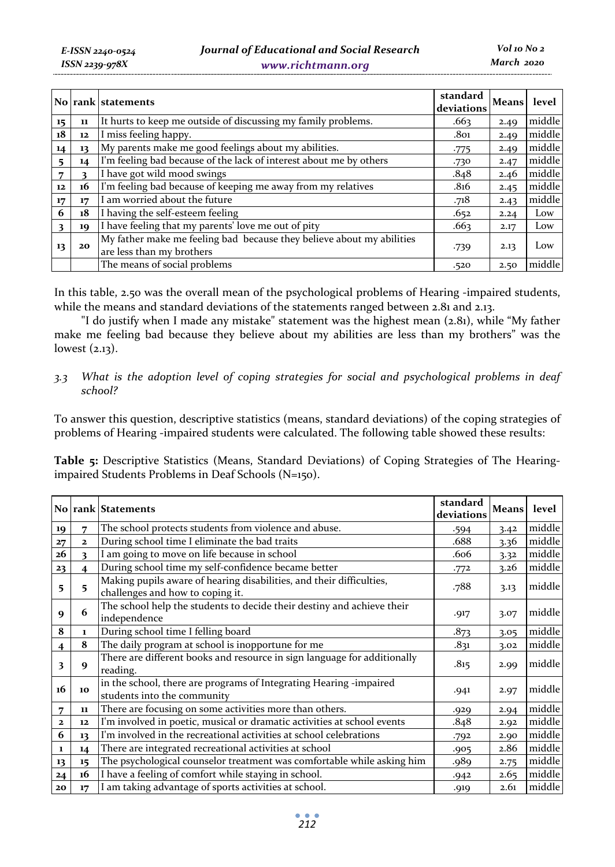|    |    | No rank statements                                                                                 | standard<br>deviations | Means | level  |
|----|----|----------------------------------------------------------------------------------------------------|------------------------|-------|--------|
| 15 | 11 | It hurts to keep me outside of discussing my family problems.                                      | .663                   | 2.49  | middle |
| 18 | 12 | I miss feeling happy.                                                                              | .801                   | 2.49  | middle |
| 14 | 13 | My parents make me good feelings about my abilities.                                               | $-775$                 | 2.49  | middle |
| 5  | 14 | I'm feeling bad because of the lack of interest about me by others                                 | .730                   | 2.47  | middle |
| 7  | 3  | I have got wild mood swings                                                                        | .848                   | 2.46  | middle |
| 12 | 16 | I'm feeling bad because of keeping me away from my relatives                                       | .816                   | 2.45  | middle |
| 17 | 17 | am worried about the future                                                                        | .718                   | 2.43  | middle |
| 6  | 18 | I having the self-esteem feeling                                                                   | .652                   | 2.24  | Low    |
| 3  | 10 | I have feeling that my parents' love me out of pity                                                | .663                   | 2.17  | Low    |
| 13 | 20 | My father make me feeling bad because they believe about my abilities<br>are less than my brothers | $-739$                 | 2.13  | Low    |
|    |    | The means of social problems                                                                       | .520                   | 2.50  | middle |

In this table, 2.50 was the overall mean of the psychological problems of Hearing -impaired students, while the means and standard deviations of the statements ranged between 2.81 and 2.13.

"I do justify when I made any mistake" statement was the highest mean (2.81), while "My father make me feeling bad because they believe about my abilities are less than my brothers" was the lowest (2.13).

## *3.3 What is the adoption level of coping strategies for social and psychological problems in deaf school?*

To answer this question, descriptive statistics (means, standard deviations) of the coping strategies of problems of Hearing -impaired students were calculated. The following table showed these results:

**Table 5:** Descriptive Statistics (Means, Standard Deviations) of Coping Strategies of The Hearingimpaired Students Problems in Deaf Schools (N=150).

|                         |                         | No rank Statements                                                                                       | standard<br>deviations | <b>Means</b> | level  |
|-------------------------|-------------------------|----------------------------------------------------------------------------------------------------------|------------------------|--------------|--------|
| 19                      |                         | The school protects students from violence and abuse.                                                    | .594                   | 3.42         | middle |
| 27                      | $\mathbf{z}$            | During school time I eliminate the bad traits                                                            | .688                   | 3.36         | middle |
| 26                      | 3                       | I am going to move on life because in school                                                             | .606                   | 3.32         | middle |
| 23                      | $\overline{\mathbf{4}}$ | During school time my self-confidence became better                                                      | .772                   | 3.26         | middle |
| 5                       | 5                       | Making pupils aware of hearing disabilities, and their difficulties,<br>challenges and how to coping it. | .788                   | 3.13         | middle |
| 9                       | 6                       | The school help the students to decide their destiny and achieve their<br>independence                   | .917                   | 3.07         | middle |
| 8                       | $\mathbf{1}$            | During school time I felling board                                                                       | .873                   | 3.05         | middle |
| $\overline{\mathbf{4}}$ | 8                       | The daily program at school is inopportune for me                                                        | .831                   | 3.02         | middle |
| 3                       | 9                       | There are different books and resource in sign language for additionally<br>reading.                     | .815                   | 2.99         | middle |
| 16                      | 10                      | in the school, there are programs of Integrating Hearing -impaired<br>students into the community        | .941                   | 2.97         | middle |
| 7                       | 11                      | There are focusing on some activities more than others.                                                  | .929                   | 2.94         | middle |
| $\mathbf{z}$            | 12                      | I'm involved in poetic, musical or dramatic activities at school events                                  | .848                   | 2.92         | middle |
| 6                       | 13                      | I'm involved in the recreational activities at school celebrations                                       | .792                   | 2.90         | middle |
| 1                       | 14                      | There are integrated recreational activities at school                                                   | .905                   | 2.86         | middle |
| 13                      | 15                      | The psychological counselor treatment was comfortable while asking him                                   | .989                   | 2.75         | middle |
| 24                      | 16                      | I have a feeling of comfort while staying in school.                                                     | .942                   | 2.65         | middle |
| 20                      | 17                      | I am taking advantage of sports activities at school.                                                    | .919                   | 2.61         | middle |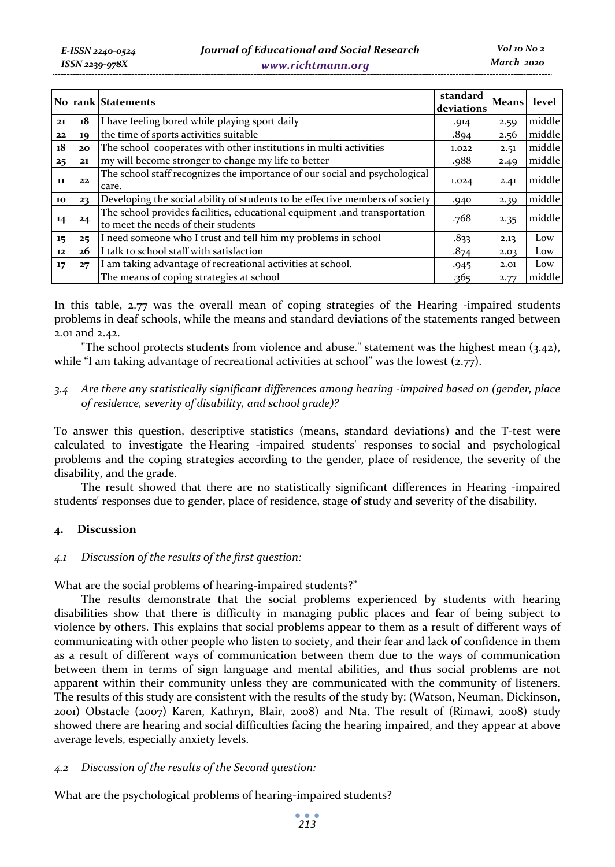|                 |    | No rank Statements                                                                                               | standard<br>deviations | Means level |        |
|-----------------|----|------------------------------------------------------------------------------------------------------------------|------------------------|-------------|--------|
| 21              | 18 | I have feeling bored while playing sport daily                                                                   | .914                   | 2.59        | middle |
| 22              | 19 | the time of sports activities suitable                                                                           | .894                   | 2.56        | middle |
| 18              | 20 | The school cooperates with other institutions in multi activities                                                | 1.022                  | 2.51        | middle |
| 25              | 21 | my will become stronger to change my life to better                                                              | .988                   | 2.49        | middle |
| 11              | 22 | The school staff recognizes the importance of our social and psychological<br>care.                              | 1.024                  | 2.41        | middle |
| 10              | 23 | Developing the social ability of students to be effective members of society                                     | .940                   | 2.39        | middle |
| 14              | 24 | The school provides facilities, educational equipment, and transportation<br>to meet the needs of their students | .768                   | 2.35        | middle |
| 15 <sub>1</sub> | 25 | I need someone who I trust and tell him my problems in school                                                    | .833                   | 2.13        | Low    |
| 12              | 26 | I talk to school staff with satisfaction                                                                         | .874                   | 2.03        | Low    |
| 17              | 27 | I am taking advantage of recreational activities at school.                                                      | .945                   | 2.01        | Low    |
|                 |    | The means of coping strategies at school                                                                         | .365                   | 2.77        | middle |

In this table, 2.77 was the overall mean of coping strategies of the Hearing -impaired students problems in deaf schools, while the means and standard deviations of the statements ranged between 2.01 and 2.42.

"The school protects students from violence and abuse." statement was the highest mean (3.42), while "I am taking advantage of recreational activities at school" was the lowest (2.77).

## *3.4 Are there any statistically significant differences among hearing -impaired based on (gender, place of residence, severity of disability, and school grade)?*

To answer this question, descriptive statistics (means, standard deviations) and the T-test were calculated to investigate the Hearing -impaired students' responses to social and psychological problems and the coping strategies according to the gender, place of residence, the severity of the disability, and the grade.

The result showed that there are no statistically significant differences in Hearing -impaired students' responses due to gender, place of residence, stage of study and severity of the disability.

## **4. Discussion**

## *4.1 Discussion of the results of the first question:*

What are the social problems of hearing-impaired students?"

The results demonstrate that the social problems experienced by students with hearing disabilities show that there is difficulty in managing public places and fear of being subject to violence by others. This explains that social problems appear to them as a result of different ways of communicating with other people who listen to society, and their fear and lack of confidence in them as a result of different ways of communication between them due to the ways of communication between them in terms of sign language and mental abilities, and thus social problems are not apparent within their community unless they are communicated with the community of listeners. The results of this study are consistent with the results of the study by: (Watson, Neuman, Dickinson, 2001) Obstacle (2007) Karen, Kathryn, Blair, 2008) and Nta. The result of (Rimawi, 2008) study showed there are hearing and social difficulties facing the hearing impaired, and they appear at above average levels, especially anxiety levels.

## *4.2 Discussion of the results of the Second question:*

What are the psychological problems of hearing-impaired students?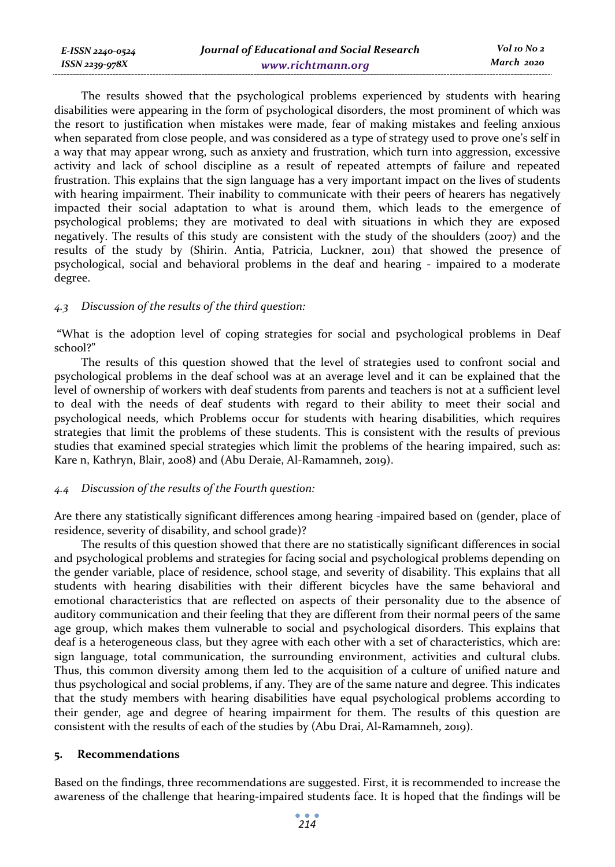| E-ISSN 2240-0524 | Journal of Educational and Social Research | Vol 10 No 2 |
|------------------|--------------------------------------------|-------------|
| ISSN 2239-978X   | www.richtmann.org                          | March 2020  |

The results showed that the psychological problems experienced by students with hearing disabilities were appearing in the form of psychological disorders, the most prominent of which was the resort to justification when mistakes were made, fear of making mistakes and feeling anxious when separated from close people, and was considered as a type of strategy used to prove one's self in a way that may appear wrong, such as anxiety and frustration, which turn into aggression, excessive activity and lack of school discipline as a result of repeated attempts of failure and repeated frustration. This explains that the sign language has a very important impact on the lives of students with hearing impairment. Their inability to communicate with their peers of hearers has negatively impacted their social adaptation to what is around them, which leads to the emergence of psychological problems; they are motivated to deal with situations in which they are exposed negatively. The results of this study are consistent with the study of the shoulders (2007) and the results of the study by (Shirin. Antia, Patricia, Luckner, 2011) that showed the presence of psychological, social and behavioral problems in the deaf and hearing - impaired to a moderate degree.

#### *4.3 Discussion of the results of the third question:*

 **"**What is the adoption level of coping strategies for social and psychological problems in Deaf school?"

The results of this question showed that the level of strategies used to confront social and psychological problems in the deaf school was at an average level and it can be explained that the level of ownership of workers with deaf students from parents and teachers is not at a sufficient level to deal with the needs of deaf students with regard to their ability to meet their social and psychological needs, which Problems occur for students with hearing disabilities, which requires strategies that limit the problems of these students. This is consistent with the results of previous studies that examined special strategies which limit the problems of the hearing impaired, such as: Kare n, Kathryn, Blair, 2008) and (Abu Deraie, Al-Ramamneh, 2019).

#### *4.4 Discussion of the results of the Fourth question:*

Are there any statistically significant differences among hearing -impaired based on (gender, place of residence, severity of disability, and school grade)?

The results of this question showed that there are no statistically significant differences in social and psychological problems and strategies for facing social and psychological problems depending on the gender variable, place of residence, school stage, and severity of disability. This explains that all students with hearing disabilities with their different bicycles have the same behavioral and emotional characteristics that are reflected on aspects of their personality due to the absence of auditory communication and their feeling that they are different from their normal peers of the same age group, which makes them vulnerable to social and psychological disorders. This explains that deaf is a heterogeneous class, but they agree with each other with a set of characteristics, which are: sign language, total communication, the surrounding environment, activities and cultural clubs. Thus, this common diversity among them led to the acquisition of a culture of unified nature and thus psychological and social problems, if any. They are of the same nature and degree. This indicates that the study members with hearing disabilities have equal psychological problems according to their gender, age and degree of hearing impairment for them. The results of this question are consistent with the results of each of the studies by (Abu Drai, Al-Ramamneh, 2019).

#### **5. Recommendations**

Based on the findings, three recommendations are suggested. First, it is recommended to increase the awareness of the challenge that hearing-impaired students face. It is hoped that the findings will be